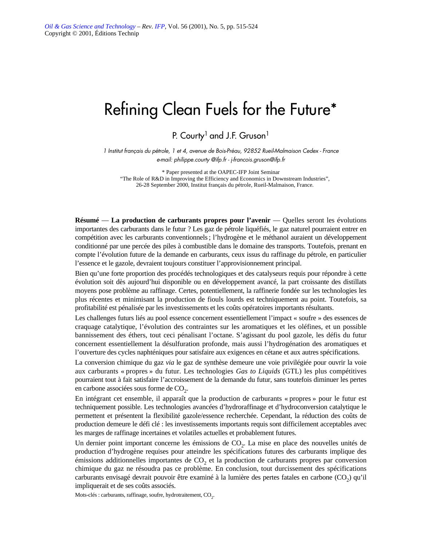# Refining Clean Fuels for the Future\*

P. Courty<sup>1</sup> and J.F. Gruson<sup>1</sup>

*1 Institut français du pétrole, 1 et 4, avenue de Bois-Préau, 92852 Rueil-Malmaison Cedex - France e-mail: philippe.courty @ifp.fr - j-francois.gruson@ifp.fr*

\* Paper presented at the OAPEC-IFP Joint Seminar "The Role of R&D in Improving the Efficiency and Economics in Downstream Industries", 26-28 September 2000, Institut français du pétrole, Rueil-Malmaison, France.

**Résumé** — **La production de carburants propres pour l'avenir** — Quelles seront les évolutions importantes des carburants dans le futur ? Les gaz de pétrole liquéfiés, le gaz naturel pourraient entrer en compétition avec les carburants conventionnels ; l'hydrogène et le méthanol auraient un développement conditionné par une percée des piles à combustible dans le domaine des transports. Toutefois, prenant en compte l'évolution future de la demande en carburants, ceux issus du raffinage du pétrole, en particulier l'essence et le gazole, devraient toujours constituer l'approvisionnement principal.

Bien qu'une forte proportion des procédés technologiques et des catalyseurs requis pour répondre à cette évolution soit dès aujourd'hui disponible ou en développement avancé, la part croissante des distillats moyens pose problème au raffinage. Certes, potentiellement, la raffinerie fondée sur les technologies les plus récentes et minimisant la production de fiouls lourds est techniquement au point. Toutefois, sa profitabilité est pénalisée par les investissements et les coûts opératoires importants résultants.

Les challenges futurs liés au pool essence concernent essentiellement l'impact « soufre » des essences de craquage catalytique, l'évolution des contraintes sur les aromatiques et les oléfines, et un possible bannissement des éthers, tout ceci pénalisant l'octane. S'agissant du pool gazole, les défis du futur concernent essentiellement la désulfuration profonde, mais aussi l'hydrogénation des aromatiques et l'ouverture des cycles naphténiques pour satisfaire aux exigences en cétane et aux autres spécifications.

La conversion chimique du gaz *via* le gaz de synthèse demeure une voie privilégiée pour ouvrir la voie aux carburants « propres » du futur. Les technologies *Gas to Liquids* (GTL) les plus compétitives pourraient tout à fait satisfaire l'accroissement de la demande du futur, sans toutefois diminuer les pertes en carbone associées sous forme de CO<sub>2</sub>.

En intégrant cet ensemble, il apparaît que la production de carburants « propres » pour le futur est techniquement possible. Les technologies avancées d'hydroraffinage et d'hydroconversion catalytique le permettent et présentent la flexibilité gazole/essence recherchée. Cependant, la réduction des coûts de production demeure le défi clé : les investissements importants requis sont difficilement acceptables avec les marges de raffinage incertaines et volatiles actuelles et probablement futures.

Un dernier point important concerne les émissions de CO<sub>2</sub>. La mise en place des nouvelles unités de production d'hydrogène requises pour atteindre les spécifications futures des carburants implique des émissions additionnelles importantes de CO<sub>2</sub> et la production de carburants propres par conversion chimique du gaz ne résoudra pas ce problème. En conclusion, tout durcissement des spécifications carburants envisagé devrait pouvoir être examiné à la lumière des pertes fatales en carbone  $(CO<sub>2</sub>)$  qu'il impliquerait et de ses coûts associés.

Mots-clés : carburants, raffinage, soufre, hydrotraitement, CO<sub>2</sub>.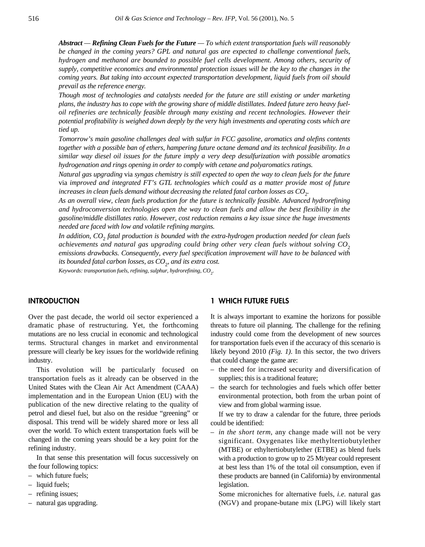*Abstract — Refining Clean Fuels for the Future — To which extent transportation fuels will reasonably be changed in the coming years? GPL and natural gas are expected to challenge conventional fuels, hydrogen and methanol are bounded to possible fuel cells development. Among others, security of supply, competitive economics and environmental protection issues will be the key to the changes in the coming years. But taking into account expected transportation development, liquid fuels from oil should prevail as the reference energy.*

*Though most of technologies and catalysts needed for the future are still existing or under marketing plans, the industry has to cope with the growing share of middle distillates. Indeed future zero heavy fueloil refineries are technically feasible through many existing and recent technologies. However their potential profitability is weighed down deeply by the very high investments and operating costs which are tied up.*

*Tomorrow's main gasoline challenges deal with sulfur in FCC gasoline, aromatics and olefins contents together with a possible ban of ethers, hampering future octane demand and its technical feasibility. In a similar way diesel oil issues for the future imply a very deep desulfurization with possible aromatics hydrogenation and rings opening in order to comply with cetane and polyaromatics ratings.* 

*Natural gas upgrading* via *syngas chemistry is still expected to open the way to clean fuels for the future* via *improved and integrated FT's GTL technologies which could as a matter provide most of future increases in clean fuels demand without decreasing the related fatal carbon losses as CO<sub>2</sub>.* 

*As an overall view, clean fuels production for the future is technically feasible. Advanced hydrorefining and hydroconversion technologies open the way to clean fuels and allow the best flexibility in the gasoline/middle distillates ratio. However, cost reduction remains a key issue since the huge investments needed are faced with low and volatile refining margins.*

*In addition, CO<sub>2</sub> fatal production is bounded with the extra-hydrogen production needed for clean fuels achievements and natural gas upgrading could bring other very clean fuels without solving CO*<sub>2</sub> *emissions drawbacks. Consequently, every fuel specification improvement will have to be balanced with its bounded fatal carbon losses, as CO<sub>2</sub>, and its extra cost.* 

*Keywords: transportation fuels, refining, sulphur, hydrorefining, CO<sub>2</sub>.* 

## **INTRODUCTION**

Over the past decade, the world oil sector experienced a dramatic phase of restructuring. Yet, the forthcoming mutations are no less crucial in economic and technological terms. Structural changes in market and environmental pressure will clearly be key issues for the worldwide refining industry.

This evolution will be particularly focused on transportation fuels as it already can be observed in the United States with the Clean Air Act Amendment (CAAA) implementation and in the European Union (EU) with the publication of the new directive relating to the quality of petrol and diesel fuel, but also on the residue "greening" or disposal. This trend will be widely shared more or less all over the world. To which extent transportation fuels will be changed in the coming years should be a key point for the refining industry.

In that sense this presentation will focus successively on the four following topics:

- which future fuels;
- liquid fuels;
- refining issues;
- natural gas upgrading.

#### **1 WHICH FUTURE FUELS**

It is always important to examine the horizons for possible threats to future oil planning. The challenge for the refining industry could come from the development of new sources for transportation fuels even if the accuracy of this scenario is likely beyond 2010 *(Fig. 1)*. In this sector, the two drivers that could change the game are:

- the need for increased security and diversification of supplies; this is a traditional feature;
- the search for technologies and fuels which offer better environmental protection, both from the urban point of view and from global warming issue.

If we try to draw a calendar for the future, three periods could be identified:

– *in the short term*, any change made will not be very significant. Oxygenates like methyltertiobutylether (MTBE) or ethyltertiobutylether (ETBE) as blend fuels with a production to grow up to 25 Mt/year could represent at best less than 1% of the total oil consumption, even if these products are banned (in California) by environmental legislation.

Some microniches for alternative fuels, *i.e.* natural gas (NGV) and propane-butane mix (LPG) will likely start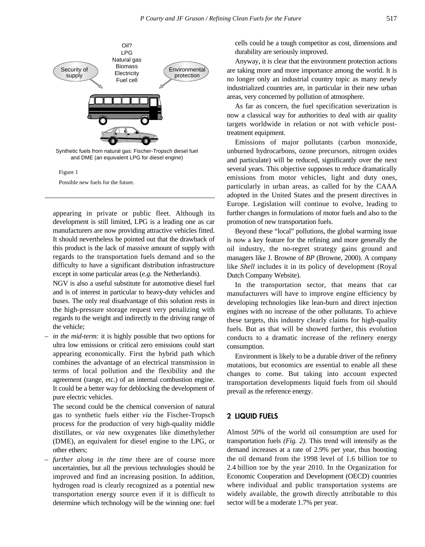

appearing in private or public fleet. Although its development is still limited, LPG is a leading one as car manufacturers are now providing attractive vehicles fitted. It should nevertheless be pointed out that the drawback of this product is the lack of massive amount of supply with regards to the transportation fuels demand and so the difficulty to have a significant distribution infrastructure except in some particular areas (*e.g.* the Netherlands).

NGV is also a useful substitute for automotive diesel fuel and is of interest in particular to heavy-duty vehicles and buses. The only real disadvantage of this solution rests in the high-pressure storage request very penalizing with regards to the weight and indirectly to the driving range of the vehicle;

*in the mid-term:* it is highly possible that two options for ultra low emissions or critical zero emissions could start appearing economically. First the hybrid path which combines the advantage of an electrical transmission in terms of local pollution and the flexibility and the agreement (range, etc.) of an internal combustion engine. It could be a better way for deblocking the development of pure electric vehicles.

The second could be the chemical conversion of natural gas to synthetic fuels either *via* the Fischer-Tropsch process for the production of very high-quality middle distillates, or *via* new oxygenates like dimethylether (DME), an equivalent for diesel engine to the LPG, or other ethers;

further along in the time there are of course more uncertainties, but all the previous technologies should be improved and find an increasing position. In addition, hydrogen road is clearly recognized as a potential new transportation energy source even if it is difficult to determine which technology will be the winning one: fuel cells could be a tough competitor as cost, dimensions and durability are seriously improved.

Anyway, it is clear that the environment protection actions are taking more and more importance among the world. It is no longer only an industrial country topic as many newly industrialized countries are, in particular in their new urban areas, very concerned by pollution of atmosphere.

As far as concern, the fuel specification severization is now a classical way for authorities to deal with air quality targets worldwide in relation or not with vehicle posttreatment equipment.

Emissions of major pollutants (carbon monoxide, unburned hydrocarbons, ozone precursors, nitrogen oxides and particulate) will be reduced, significantly over the next several years. This objective supposes to reduce dramatically emissions from motor vehicles, light and duty ones, particularly in urban areas, as called for by the CAAA adopted in the United States and the present directives in Europe. Legislation will continue to evolve, leading to further changes in formulations of motor fuels and also to the promotion of new transportation fuels.

Beyond these "local" pollutions, the global warming issue is now a key feature for the refining and more generally the oil industry, the no-regret strategy gains ground and managers like J. Browne of *BP* (Browne, 2000). A company like *Shell* includes it in its policy of development (Royal Dutch Company Website).

In the transportation sector, that means that car manufacturers will have to improve engine efficiency by developing technologies like lean-burn and direct injection engines with no increase of the other pollutants. To achieve these targets, this industry clearly claims for high-quality fuels. But as that will be showed further, this evolution conducts to a dramatic increase of the refinery energy consumption.

Environment is likely to be a durable driver of the refinery mutations, but economics are essential to enable all these changes to come. But taking into account expected transportation developments liquid fuels from oil should prevail as the reference energy.

### **2 LIQUID FUELS**

Almost 50% of the world oil consumption are used for transportation fuels *(Fig. 2)*. This trend will intensify as the demand increases at a rate of 2.9% per year, thus boosting the oil demand from the 1998 level of 1.6 billion toe to 2.4 billion toe by the year 2010. In the Organization for Economic Cooperation and Development (OECD) countries where individual and public transportation systems are widely available, the growth directly attributable to this sector will be a moderate 1.7% per year.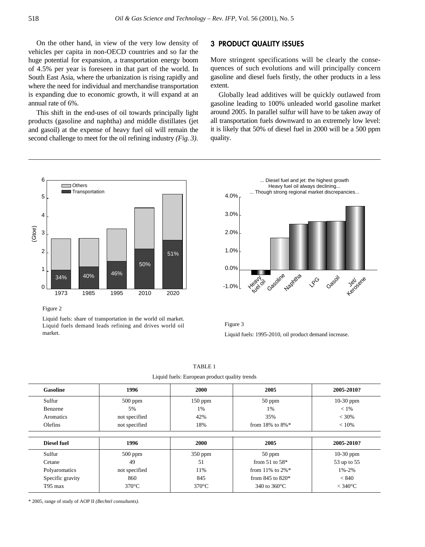On the other hand, in view of the very low density of vehicles per capita in non-OECD countries and so far the huge potential for expansion, a transportation energy boom of 4.5% per year is foreseen in that part of the world. In South East Asia, where the urbanization is rising rapidly and where the need for individual and merchandise transportation is expanding due to economic growth, it will expand at an annual rate of 6%.

This shift in the end-uses of oil towards principally light products (gasoline and naphtha) and middle distillates (jet and gasoil) at the expense of heavy fuel oil will remain the second challenge to meet for the oil refining industry *(Fig. 3)*.



Figure 2

Liquid fuels: share of transportation in the world oil market. Liquid fuels demand leads refining and drives world oil market.



More stringent specifications will be clearly the consequences of such evolutions and will principally concern gasoline and diesel fuels firstly, the other products in a less extent.

Globally lead additives will be quickly outlawed from gasoline leading to 100% unleaded world gasoline market around 2005. In parallel sulfur will have to be taken away of all transportation fuels downward to an extremely low level: it is likely that 50% of diesel fuel in 2000 will be a 500 ppm quality.



Figure 3

Liquid fuels: 1995-2010, oil product demand increase.

| Gasoline           | 1996          | 2000      | 2005                | 2005-2010?  |
|--------------------|---------------|-----------|---------------------|-------------|
| Sulfur             | $500$ ppm     | $150$ ppm | $50$ ppm            | $10-30$ ppm |
| <b>Benzene</b>     | 5%            | 1%        | 1%                  | $< 1\%$     |
| Aromatics          | not specified | 42%       | 35%                 | $< 30\%$    |
| <b>Olefins</b>     | not specified | 18%       | from 18% to $8\%$ * | < 10%       |
|                    |               |           |                     |             |
| <b>Diesel fuel</b> | 1996          | 2000      | 2005                | 2005-2010?  |
| Sulfur             | $500$ ppm     | $350$ ppm | $50$ ppm            | $10-30$ ppm |
| Cetane             | 49            | 51        | from $51$ to $58*$  | 53 up to 55 |
| Polyaromatics      | not specified | 11%       | from 11% to $2\%$ * | $1\% - 2\%$ |
| Specific gravity   | 860           | 845       | from 845 to 820 $*$ | < 840       |
|                    |               |           |                     |             |

TABLE 1 Liquid fuels: European product quality trends

\* 2005, range of study of AOP II *(Bechtel consultants)*.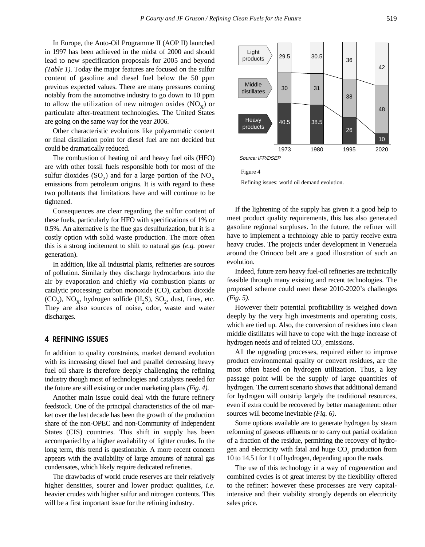In Europe, the Auto-Oil Programme II (AOP II) launched in 1997 has been achieved in the midst of 2000 and should lead to new specification proposals for 2005 and beyond *(Table 1)*. Today the major features are focused on the sulfur content of gasoline and diesel fuel below the 50 ppm previous expected values. There are many pressures coming notably from the automotive industry to go down to 10 ppm to allow the utilization of new nitrogen oxides  $(NO_x)$  or particulate after-treatment technologies. The United States are going on the same way for the year 2006.

Other characteristic evolutions like polyaromatic content or final distillation point for diesel fuel are not decided but could be dramatically reduced.

The combustion of heating oil and heavy fuel oils (HFO) are with other fossil fuels responsible both for most of the sulfur dioxides (SO<sub>2</sub>) and for a large portion of the  $NO_x$ emissions from petroleum origins. It is with regard to these two pollutants that limitations have and will continue to be tightened.

Consequences are clear regarding the sulfur content of these fuels, particularly for HFO with specifications of 1% or 0.5%. An alternative is the flue gas desulfurization, but it is a costly option with solid waste production. The more often this is a strong incitement to shift to natural gas (*e.g.* power generation).

In addition, like all industrial plants, refineries are sources of pollution. Similarly they discharge hydrocarbons into the air by evaporation and chiefly *via* combustion plants or catalytic processing: carbon monoxide (CO), carbon dioxide  $(CO_2)$ , NO<sub>X</sub>, hydrogen sulfide  $(H_2S)$ , SO<sub>2</sub>, dust, fines, etc. They are also sources of noise, odor, waste and water discharges.

#### **4 REFINING ISSUES**

In addition to quality constraints, market demand evolution with its increasing diesel fuel and parallel decreasing heavy fuel oil share is therefore deeply challenging the refining industry though most of technologies and catalysts needed for the future are still existing or under marketing plans *(Fig. 4)*.

Another main issue could deal with the future refinery feedstock. One of the principal characteristics of the oil market over the last decade has been the growth of the production share of the non-OPEC and non-Community of Independent States (CIS) countries. This shift in supply has been accompanied by a higher availability of lighter crudes. In the long term, this trend is questionable. A more recent concern appears with the availability of large amounts of natural gas condensates, which likely require dedicated refineries.

The drawbacks of world crude reserves are their relatively higher densities, sourer and lower product qualities, *i.e.* heavier crudes with higher sulfur and nitrogen contents. This will be a first important issue for the refining industry.



If the lightening of the supply has given it a good help to meet product quality requirements, this has also generated gasoline regional surpluses. In the future, the refiner will have to implement a technology able to partly receive extra heavy crudes. The projects under development in Venezuela around the Orinoco belt are a good illustration of such an evolution.

Indeed, future zero heavy fuel-oil refineries are technically feasible through many existing and recent technologies. The proposed scheme could meet these 2010-2020's challenges *(Fig. 5)*.

However their potential profitability is weighed down deeply by the very high investments and operating costs, which are tied up. Also, the conversion of residues into clean middle distillates will have to cope with the huge increase of hydrogen needs and of related  $CO<sub>2</sub>$  emissions.

All the upgrading processes, required either to improve product environmental quality or convert residues, are the most often based on hydrogen utilization. Thus, a key passage point will be the supply of large quantities of hydrogen. The current scenario shows that additional demand for hydrogen will outstrip largely the traditional resources, even if extra could be recovered by better management: other sources will become inevitable *(Fig. 6)*.

Some options available are to generate hydrogen by steam reforming of gaseous effluents or to carry out partial oxidation of a fraction of the residue, permitting the recovery of hydrogen and electricity with fatal and huge  $CO<sub>2</sub>$  production from 10 to 14.5 t for 1 t of hydrogen, depending upon the roads.

The use of this technology in a way of cogeneration and combined cycles is of great interest by the flexibility offered to the refiner: however these processes are very capitalintensive and their viability strongly depends on electricity sales price.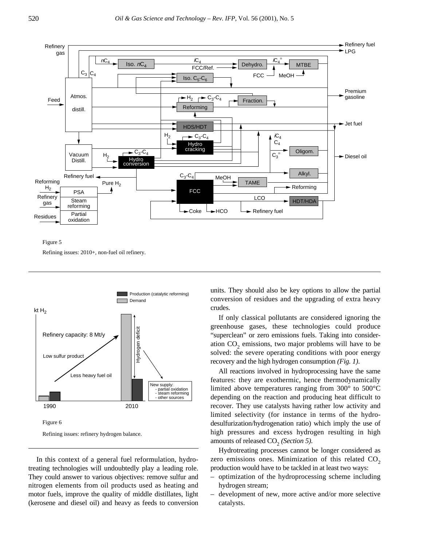

Figure 5

Refining issues: 2010+, non-fuel oil refinery.



In this context of a general fuel reformulation, hydrotreating technologies will undoubtedly play a leading role. They could answer to various objectives: remove sulfur and nitrogen elements from oil products used as heating and motor fuels, improve the quality of middle distillates, light (kerosene and diesel oil) and heavy as feeds to conversion units. They should also be key options to allow the partial conversion of residues and the upgrading of extra heavy crudes.

If only classical pollutants are considered ignoring the greenhouse gases, these technologies could produce "superclean" or zero emissions fuels. Taking into consideration  $CO<sub>2</sub>$  emissions, two major problems will have to be solved: the severe operating conditions with poor energy recovery and the high hydrogen consumption *(Fig. 1)*.

All reactions involved in hydroprocessing have the same features: they are exothermic, hence thermodynamically limited above temperatures ranging from 300° to 500°C depending on the reaction and producing heat difficult to recover. They use catalysts having rather low activity and limited selectivity (for instance in terms of the hydrodesulfurization/hydrogenation ratio) which imply the use of high pressures and excess hydrogen resulting in high amounts of released CO<sub>2</sub> *(Section 5)*.

Hydrotreating processes cannot be longer considered as zero emissions ones. Minimization of this related  $CO<sub>2</sub>$ production would have to be tackled in at least two ways:

- optimization of the hydroprocessing scheme including hydrogen stream;
- development of new, more active and/or more selective catalysts.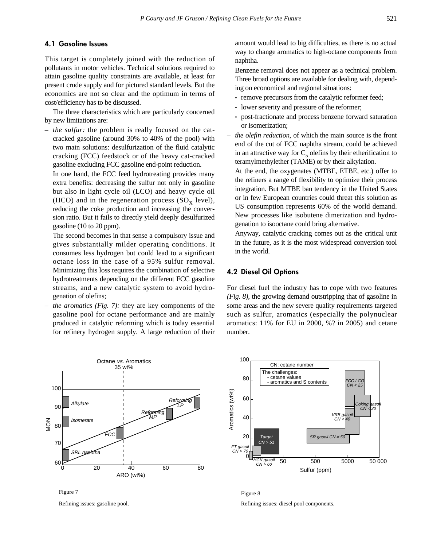# **4.1 Gasoline Issues**

This target is completely joined with the reduction of pollutants in motor vehicles. Technical solutions required to attain gasoline quality constraints are available, at least for present crude supply and for pictured standard levels. But the economics are not so clear and the optimum in terms of cost/efficiency has to be discussed.

The three characteristics which are particularly concerned by new limitations are:

– *the sulfur:* the problem is really focused on the catcracked gasoline (around 30% to 40% of the pool) with two main solutions: desulfurization of the fluid catalytic cracking (FCC) feedstock or of the heavy cat-cracked gasoline excluding FCC gasoline end-point reduction.

In one hand, the FCC feed hydrotreating provides many extra benefits: decreasing the sulfur not only in gasoline but also in light cycle oil (LCO) and heavy cycle oil (HCO) and in the regeneration process ( $SO<sub>x</sub>$  level), reducing the coke production and increasing the conversion ratio. But it fails to directly yield deeply desulfurized gasoline (10 to 20 ppm).

The second becomes in that sense a compulsory issue and gives substantially milder operating conditions. It consumes less hydrogen but could lead to a significant octane loss in the case of a 95% sulfur removal. Minimizing this loss requires the combination of selective hydrotreatments depending on the different FCC gasoline streams, and a new catalytic system to avoid hydrogenation of olefins;

– *the aromatics (Fig. 7):* they are key components of the gasoline pool for octane performance and are mainly produced in catalytic reforming which is today essential for refinery hydrogen supply. A large reduction of their amount would lead to big difficulties, as there is no actual way to change aromatics to high-octane components from naphtha.

Benzene removal does not appear as a technical problem. Three broad options are available for dealing with, depending on economical and regional situations:

- remove precursors from the catalytic reformer feed;
- lower severity and pressure of the reformer;
- post-fractionate and process benzene forward saturation or isomerization;
- *the olefin reduction*, of which the main source is the front end of the cut of FCC naphtha stream, could be achieved in an attractive way for  $C_5$  olefins by their etherification to teramylmethylether (TAME) or by their alkylation.

At the end, the oxygenates (MTBE, ETBE, etc.) offer to the refiners a range of flexibility to optimize their process integration. But MTBE ban tendency in the United States or in few European countries could threat this solution as US consumption represents 60% of the world demand. New processes like isobutene dimerization and hydrogenation to isooctane could bring alternative.

Anyway, catalytic cracking comes out as the critical unit in the future, as it is the most widespread conversion tool in the world.

# **4.2 Diesel Oil Options**

For diesel fuel the industry has to cope with two features *(Fig. 8)*, the growing demand outstripping that of gasoline in some areas and the new severe quality requirements targeted such as sulfur, aromatics (especially the polynuclear aromatics: 11% for EU in 2000, %? in 2005) and cetane number.



100 CN: cetane number The challenges: - cetane values 80 aromatics and S contents FCC LCO CN < 25 Aromatics (wt%) Aromatics (wt%) 60 Coking gasoil CN < 30  $VRB$ 40  $\ddot{c}$ 20 Target SR gasoil CN # 50  $CN > 5$ FT gasoil CN > 70 0 50 500 5000 50 000 HCK gasoil CN > 60 Sulfur (ppm)





Refining issues: gasoline pool.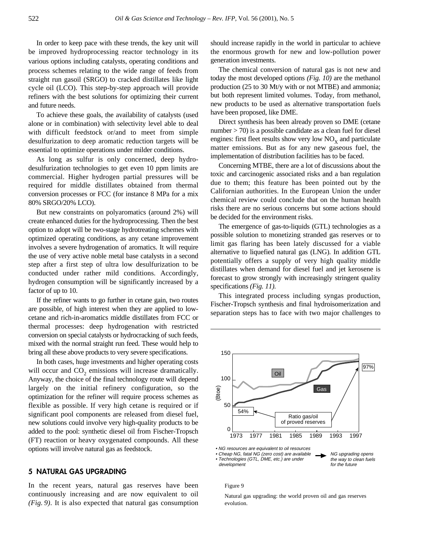In order to keep pace with these trends, the key unit will be improved hydroprocessing reactor technology in its various options including catalysts, operating conditions and process schemes relating to the wide range of feeds from straight run gasoil (SRGO) to cracked distillates like light cycle oil (LCO). This step-by-step approach will provide refiners with the best solutions for optimizing their current and future needs.

To achieve these goals, the availability of catalysts (used alone or in combination) with selectivity level able to deal with difficult feedstock or/and to meet from simple desulfurization to deep aromatic reduction targets will be essential to optimize operations under milder conditions.

As long as sulfur is only concerned, deep hydrodesulfurization technologies to get even 10 ppm limits are commercial. Higher hydrogen partial pressures will be required for middle distillates obtained from thermal conversion processes or FCC (for instance 8 MPa for a mix 80% SRGO/20% LCO).

But new constraints on polyaromatics (around 2%) will create enhanced duties for the hydroprocessing. Then the best option to adopt will be two-stage hydrotreating schemes with optimized operating conditions, as any cetane improvement involves a severe hydrogenation of aromatics. It will require the use of very active noble metal base catalysts in a second step after a first step of ultra low desulfurization to be conducted under rather mild conditions. Accordingly, hydrogen consumption will be significantly increased by a factor of up to 10.

If the refiner wants to go further in cetane gain, two routes are possible, of high interest when they are applied to lowcetane and rich-in-aromatics middle distillates from FCC or thermal processes: deep hydrogenation with restricted conversion on special catalysts or hydrocracking of such feeds, mixed with the normal straight run feed. These would help to bring all these above products to very severe specifications.

In both cases, huge investments and higher operating costs will occur and  $CO<sub>2</sub>$  emissions will increase dramatically. Anyway, the choice of the final technology route will depend largely on the initial refinery configuration, so the optimization for the refiner will require process schemes as flexible as possible. If very high cetane is required or if significant pool components are released from diesel fuel, new solutions could involve very high-quality products to be added to the pool: synthetic diesel oil from Fischer-Tropsch (FT) reaction or heavy oxygenated compounds. All these options will involve natural gas as feedstock.

# **5 NATURAL GAS UPGRADING**

In the recent years, natural gas reserves have been continuously increasing and are now equivalent to oil *(Fig. 9)*. It is also expected that natural gas consumption

should increase rapidly in the world in particular to achieve the enormous growth for new and low-pollution power generation investments.

The chemical conversion of natural gas is not new and today the most developed options *(Fig. 10)* are the methanol production (25 to 30 Mt/y with or not MTBE) and ammonia; but both represent limited volumes. Today, from methanol, new products to be used as alternative transportation fuels have been proposed, like DME.

Direct synthesis has been already proven so DME (cetane number > 70) is a possible candidate as a clean fuel for diesel engines: first fleet results show very low  $NO_x$  and particulate matter emissions. But as for any new gaseous fuel, the implementation of distribution facilities has to be faced.

Concerning MTBE, there are a lot of discussions about the toxic and carcinogenic associated risks and a ban regulation due to them; this feature has been pointed out by the Californian authorities. In the European Union the under chemical review could conclude that on the human health risks there are no serious concerns but some actions should be decided for the environment risks.

The emergence of gas-to-liquids (GTL) technologies as a possible solution to monetizing stranded gas reserves or to limit gas flaring has been lately discussed for a viable alternative to liquefied natural gas (LNG). In addition GTL potentially offers a supply of very high quality middle distillates when demand for diesel fuel and jet kerosene is forecast to grow strongly with increasingly stringent quality specifications *(Fig. 11).*

This integrated process including syngas production, Fischer-Tropsch synthesis and final hydroisomerization and separation steps has to face with two major challenges to



#### Figure 9

Natural gas upgrading: the world proven oil and gas reserves evolution.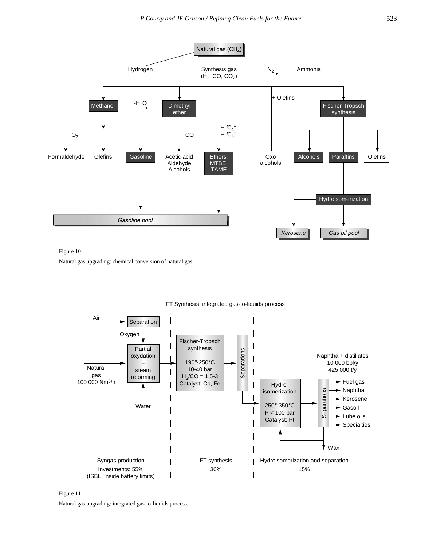

#### Figure 10

Natural gas upgrading: chemical conversion of natural gas.



FT Synthesis: integrated gas-to-liquids process



Natural gas upgrading: integrated gas-to-liquids process.